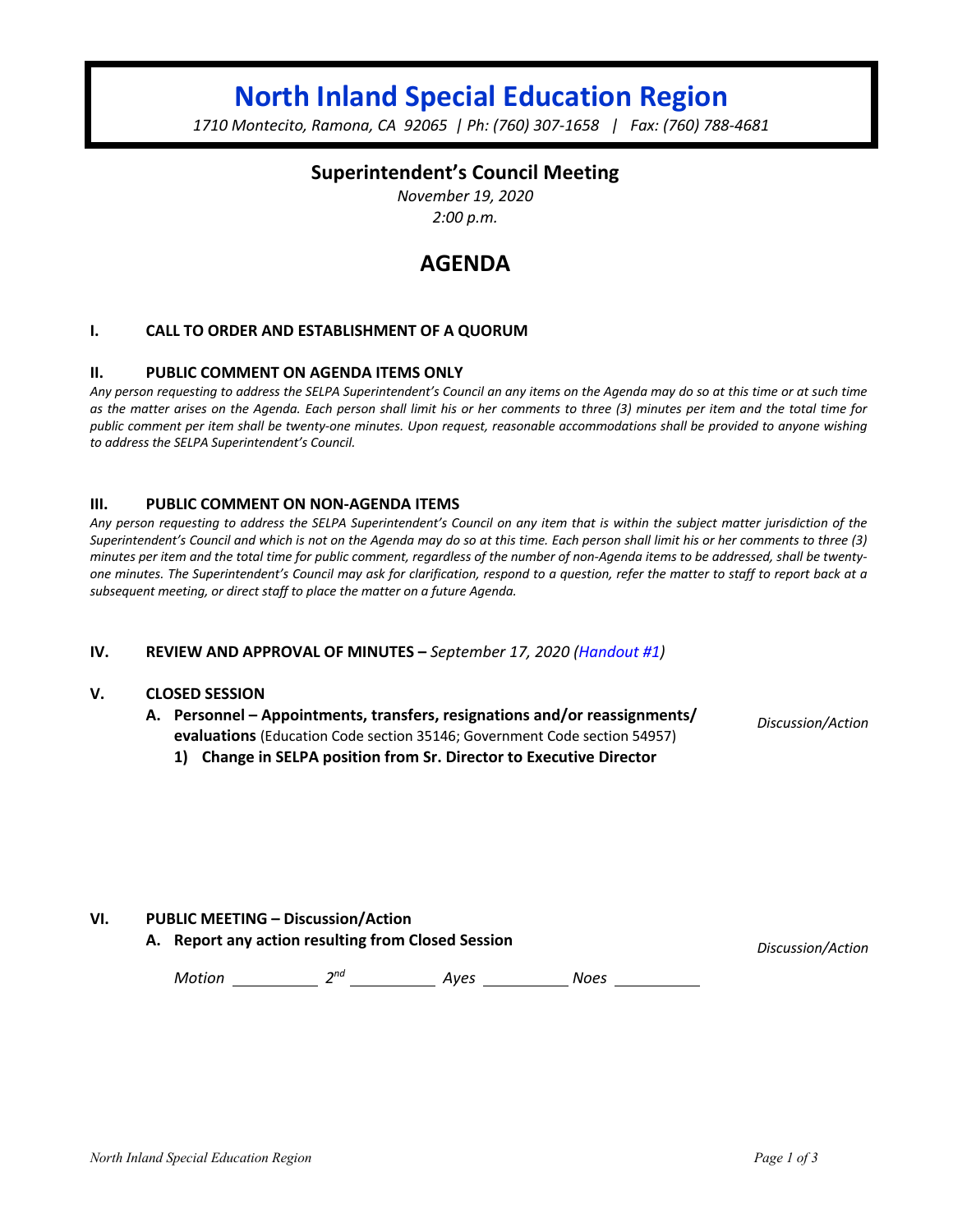# **North Inland Special Education Region**

*1710 Montecito, Ramona, CA 92065 | Ph: (760) 307-1658 | Fax: (760) 788-4681*

## **Superintendent's Council Meeting**

*November 19, 2020 2:00 p.m.*

## **AGENDA**

## **I. CALL TO ORDER AND ESTABLISHMENT OF A QUORUM**

## **II. PUBLIC COMMENT ON AGENDA ITEMS ONLY**

*Any person requesting to address the SELPA Superintendent's Council an any items on the Agenda may do so at this time or at such time as the matter arises on the Agenda. Each person shall limit his or her comments to three (3) minutes per item and the total time for public comment per item shall be twenty-one minutes. Upon request, reasonable accommodations shall be provided to anyone wishing to address the SELPA Superintendent's Council.*

## **III. PUBLIC COMMENT ON NON-AGENDA ITEMS**

*Any person requesting to address the SELPA Superintendent's Council on any item that is within the subject matter jurisdiction of the Superintendent's Council and which is not on the Agenda may do so at this time. Each person shall limit his or her comments to three (3) minutes per item and the total time for public comment, regardless of the number of non-Agenda items to be addressed, shall be twentyone minutes. The Superintendent's Council may ask for clarification, respond to a question, refer the matter to staff to report back at a subsequent meeting, or direct staff to place the matter on a future Agenda.*

## **IV. REVIEW AND APPROVAL OF MINUTES –** *September 17, 2020 (Handout #1)*

#### **V. CLOSED SESSION**

**A. Personnel – Appointments, transfers, resignations and/or reassignments/ evaluations** (Education Code section 35146; Government Code section 54957)

*Discussion/Action*

**1) Change in SELPA position from Sr. Director to Executive Director**

## **VI. PUBLIC MEETING – Discussion/Action**

**A. Report any action resulting from Closed Session** *Discussion/Action*

*Motion* 2<sup>nd</sup> 2<sup>nd</sup> 4yes 2008 Noes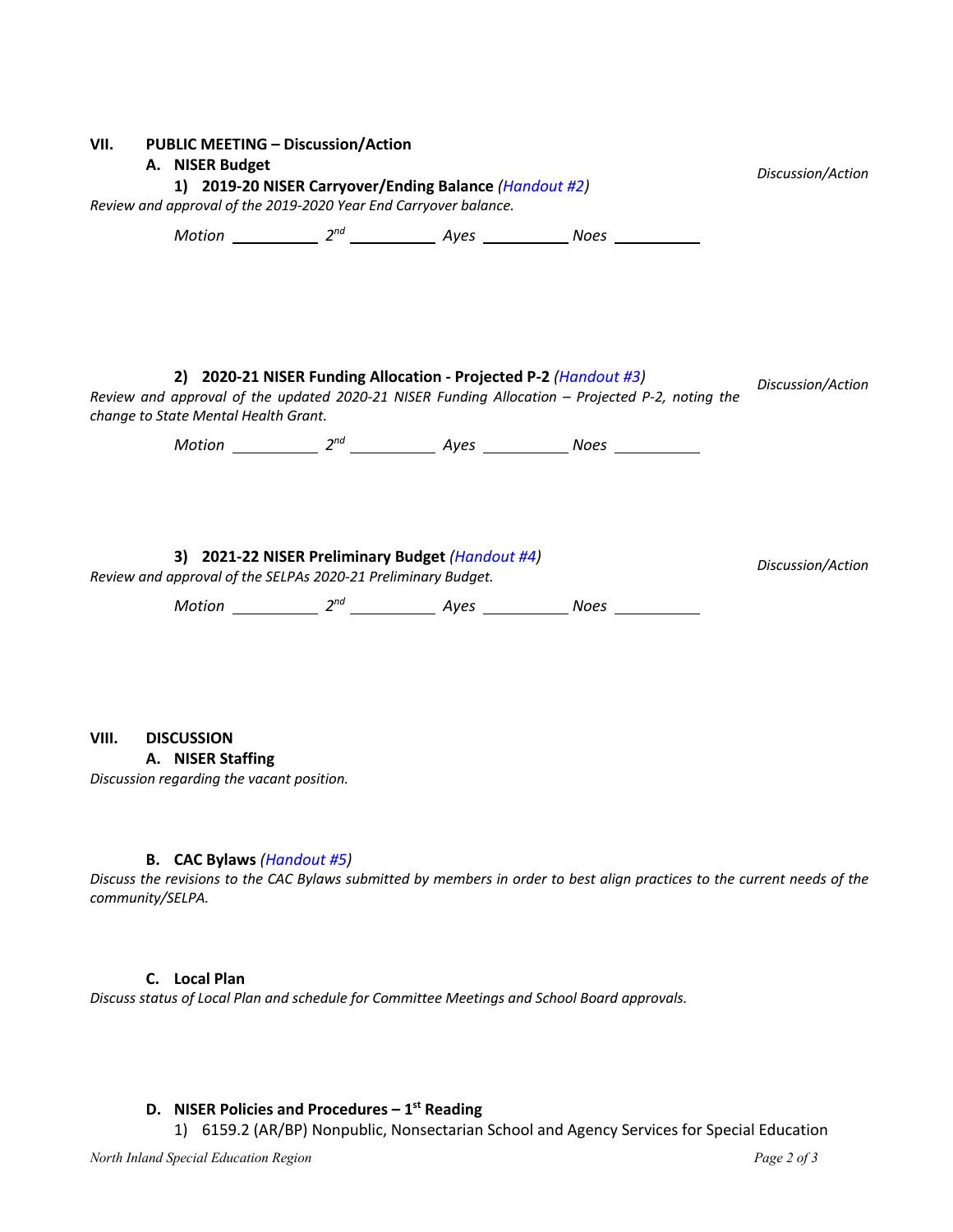| VII. PUBLIC MEETING - Discussion/Action<br>A. NISER Budget<br>1) 2019-20 NISER Carryover/Ending Balance (Handout #2)<br>Review and approval of the 2019-2020 Year End Carryover balance. |                                                               |  |                                                                  |                                                                                                 | Discussion/Action |
|------------------------------------------------------------------------------------------------------------------------------------------------------------------------------------------|---------------------------------------------------------------|--|------------------------------------------------------------------|-------------------------------------------------------------------------------------------------|-------------------|
|                                                                                                                                                                                          |                                                               |  |                                                                  | Motion ___________ $2^{nd}$ ______________ Ayes _____________ Noes ___________                  |                   |
|                                                                                                                                                                                          | change to State Mental Health Grant.                          |  | 2) 2020-21 NISER Funding Allocation - Projected P-2 (Handout #3) | Review and approval of the updated 2020-21 NISER Funding Allocation - Projected P-2, noting the | Discussion/Action |
|                                                                                                                                                                                          |                                                               |  |                                                                  |                                                                                                 |                   |
|                                                                                                                                                                                          | Review and approval of the SELPAs 2020-21 Preliminary Budget. |  | 3) 2021-22 NISER Preliminary Budget (Handout #4)                 |                                                                                                 | Discussion/Action |

## **VIII. DISCUSSION**

**A. NISER Staffing**

*Discussion regarding the vacant position.*

## **B. CAC Bylaws** *(Handout #5)*

*Discuss the revisions to the CAC Bylaws submitted by members in order to best align practices to the current needs of the community/SELPA.* 

## **C. Local Plan**

*Discuss status of Local Plan and schedule for Committee Meetings and School Board approvals.*

## **D. NISER Policies and Procedures – 1st Reading**

1) 6159.2 (AR/BP) Nonpublic, Nonsectarian School and Agency Services for Special Education